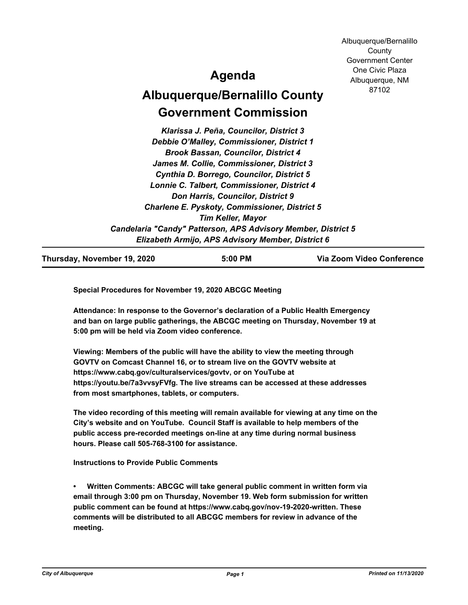Albuquerque/Bernalillo **County** Government Center One Civic Plaza Albuquerque, NM 87102

## **Agenda**

# **Albuquerque/Bernalillo County Government Commission**

*Klarissa J. Peña, Councilor, District 3 Debbie O'Malley, Commissioner, District 1 Brook Bassan, Councilor, District 4 James M. Collie, Commissioner, District 3 Cynthia D. Borrego, Councilor, District 5 Lonnie C. Talbert, Commissioner, District 4 Don Harris, Councilor, District 9 Charlene E. Pyskoty, Commissioner, District 5 Tim Keller, Mayor Candelaria "Candy" Patterson, APS Advisory Member, District 5 Elizabeth Armijo, APS Advisory Member, District 6*

**Thursday, November 19, 2020 5:00 PM Via Zoom Video Conference**

**Special Procedures for November 19, 2020 ABCGC Meeting**

**Attendance: In response to the Governor's declaration of a Public Health Emergency and ban on large public gatherings, the ABCGC meeting on Thursday, November 19 at 5:00 pm will be held via Zoom video conference.**

**Viewing: Members of the public will have the ability to view the meeting through GOVTV on Comcast Channel 16, or to stream live on the GOVTV website at https://www.cabq.gov/culturalservices/govtv, or on YouTube at https://youtu.be/7a3vvsyFVfg. The live streams can be accessed at these addresses from most smartphones, tablets, or computers.**

**The video recording of this meeting will remain available for viewing at any time on the City's website and on YouTube. Council Staff is available to help members of the public access pre-recorded meetings on-line at any time during normal business hours. Please call 505-768-3100 for assistance.**

**Instructions to Provide Public Comments**

**• Written Comments: ABCGC will take general public comment in written form via email through 3:00 pm on Thursday, November 19. Web form submission for written public comment can be found at https://www.cabq.gov/nov-19-2020-written. These comments will be distributed to all ABCGC members for review in advance of the meeting.**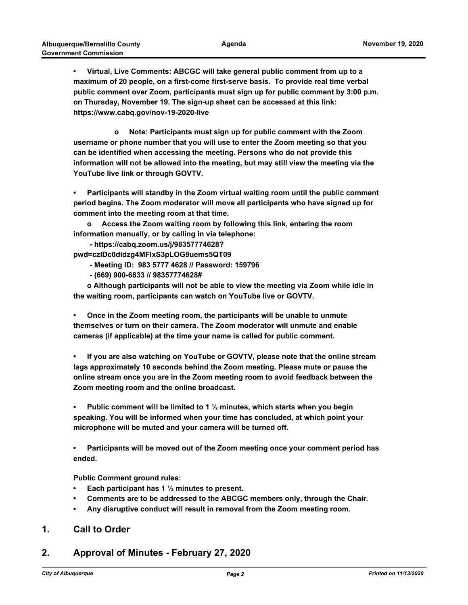**• Virtual, Live Comments: ABCGC will take general public comment from up to a maximum of 20 people, on a first-come first-serve basis. To provide real time verbal public comment over Zoom, participants must sign up for public comment by 3:00 p.m. on Thursday, November 19. The sign-up sheet can be accessed at this link: https://www.cabq.gov/nov-19-2020-live**

 **o Note: Participants must sign up for public comment with the Zoom username or phone number that you will use to enter the Zoom meeting so that you can be identified when accessing the meeting. Persons who do not provide this information will not be allowed into the meeting, but may still view the meeting via the YouTube live link or through GOVTV.**

**• Participants will standby in the Zoom virtual waiting room until the public comment period begins. The Zoom moderator will move all participants who have signed up for comment into the meeting room at that time.** 

**o Access the Zoom waiting room by following this link, entering the room information manually, or by calling in via telephone:** 

 **- https://cabq.zoom.us/j/98357774628?**

**pwd=czlDc0didzg4MFlxS3pLOG9uems5QT09** 

- **Meeting ID: 983 5777 4628 // Password: 159796**
- **(669) 900-6833 // 98357774628#**

**o Although participants will not be able to view the meeting via Zoom while idle in the waiting room, participants can watch on YouTube live or GOVTV.**

**• Once in the Zoom meeting room, the participants will be unable to unmute themselves or turn on their camera. The Zoom moderator will unmute and enable cameras (if applicable) at the time your name is called for public comment.**

**• If you are also watching on YouTube or GOVTV, please note that the online stream lags approximately 10 seconds behind the Zoom meeting. Please mute or pause the online stream once you are in the Zoom meeting room to avoid feedback between the Zoom meeting room and the online broadcast.**

**• Public comment will be limited to 1 ½ minutes, which starts when you begin speaking. You will be informed when your time has concluded, at which point your microphone will be muted and your camera will be turned off.**

**• Participants will be moved out of the Zoom meeting once your comment period has ended.**

**Public Comment ground rules:**

- **• Each participant has 1 ½ minutes to present.**
- **• Comments are to be addressed to the ABCGC members only, through the Chair.**
- **• Any disruptive conduct will result in removal from the Zoom meeting room.**

#### **1. Call to Order**

### **2. Approval of Minutes - February 27, 2020**